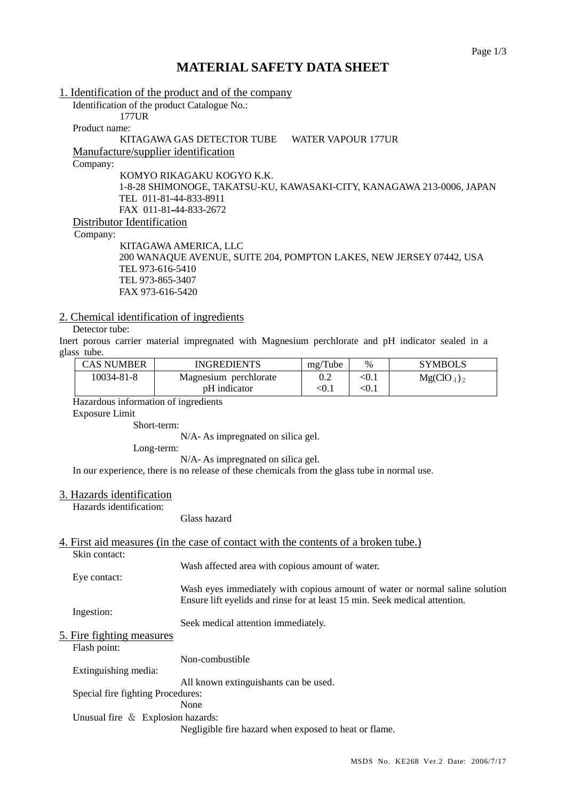# **MATERIAL SAFETY DATA SHEET**

1. Identification of the product and of the company Identification of the product Catalogue No.: 177UR Product name: KITAGAWA GAS DETECTOR TUBE WATER VAPOUR 177UR Manufacture/supplier identification Company: KOMYO RIKAGAKU KOGYO K.K. 1-8-28 SHIMONOGE, TAKATSU-KU, KAWASAKI-CITY, KANAGAWA 213-0006, JAPAN TEL 011-81-44-833-8911 FAX 011-81-44-833-2672 Distributor Identification Company: KITAGAWA AMERICA, LLC

### 200 WANAQUE AVENUE, SUITE 204, POMPTON LAKES, NEW JERSEY 07442, USA TEL 973-616-5410 TEL 973-865-3407 FAX 973-616-5420

### 2. Chemical identification of ingredients

### Detector tube:

Inert porous carrier material impregnated with Magnesium perchlorate and pH indicator sealed in a glass tube.

| <b>CAS NUMBER</b> | <b>INGREDIENTS</b>    | mg/Tube | $\%$  | <b>SYMBOLS</b> |
|-------------------|-----------------------|---------|-------|----------------|
| 10034-81-8        | Magnesium perchlorate | 0.2     | < 0.1 | $Mg(CIO_4)_2$  |
|                   | pH indicator          | < 0.1   | < 0.1 |                |

Hazardous information of ingredients

Exposure Limit

Short-term:

N/A- As impregnated on silica gel.

Long-term:

N/A- As impregnated on silica gel.

In our experience, there is no release of these chemicals from the glass tube in normal use.

### 3. Hazards identification

Hazards identification:

Glass hazard

#### 4. First aid measures (in the case of contact with the contents of a broken tube.) Skin contact:

|                                      | SKIII COIItaCt.                   |                                                                              |  |
|--------------------------------------|-----------------------------------|------------------------------------------------------------------------------|--|
|                                      |                                   | Wash affected area with copious amount of water.                             |  |
|                                      | Eye contact:                      |                                                                              |  |
|                                      |                                   | Wash eyes immediately with copious amount of water or normal saline solution |  |
|                                      |                                   | Ensure lift eyelids and rinse for at least 15 min. Seek medical attention.   |  |
|                                      | Ingestion:                        |                                                                              |  |
|                                      |                                   | Seek medical attention immediately.                                          |  |
|                                      | 5. Fire fighting measures         |                                                                              |  |
|                                      | Flash point:                      |                                                                              |  |
|                                      |                                   | Non-combustible                                                              |  |
|                                      | Extinguishing media:              |                                                                              |  |
|                                      |                                   | All known extinguishants can be used.                                        |  |
|                                      | Special fire fighting Procedures: |                                                                              |  |
|                                      |                                   | None                                                                         |  |
| Unusual fire $\&$ Explosion hazards: |                                   |                                                                              |  |
|                                      |                                   | Negligible fire hazard when exposed to heat or flame.                        |  |
|                                      |                                   |                                                                              |  |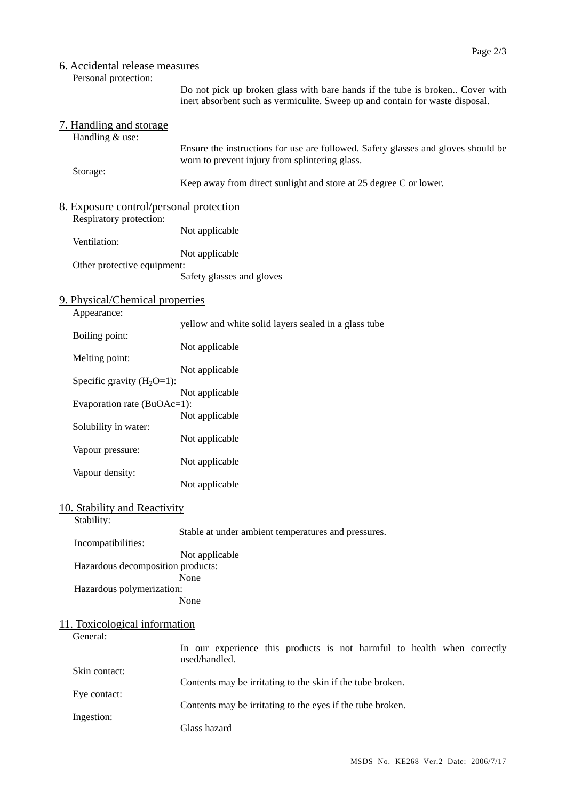## 6. Accidental release measures

Personal protection:

Do not pick up broken glass with bare hands if the tube is broken.. Cover with inert absorbent such as vermiculite. Sweep up and contain for waste disposal.

|                               | 7. Handling and storage                                            |                                                                                                                                     |  |  |
|-------------------------------|--------------------------------------------------------------------|-------------------------------------------------------------------------------------------------------------------------------------|--|--|
|                               | Handling & use:                                                    | Ensure the instructions for use are followed. Safety glasses and gloves should be<br>worn to prevent injury from splintering glass. |  |  |
|                               | Storage:                                                           | Keep away from direct sunlight and store at 25 degree C or lower.                                                                   |  |  |
|                               | 8. Exposure control/personal protection<br>Respiratory protection: |                                                                                                                                     |  |  |
|                               | Ventilation:<br>Other protective equipment:                        | Not applicable                                                                                                                      |  |  |
|                               |                                                                    | Not applicable                                                                                                                      |  |  |
|                               |                                                                    | Safety glasses and gloves                                                                                                           |  |  |
|                               | 9. Physical/Chemical properties<br>Appearance:                     |                                                                                                                                     |  |  |
|                               | Boiling point:                                                     | yellow and white solid layers sealed in a glass tube                                                                                |  |  |
|                               | Melting point:                                                     | Not applicable                                                                                                                      |  |  |
|                               | Specific gravity $(H_2O=1)$ :                                      | Not applicable                                                                                                                      |  |  |
|                               | Evaporation rate (BuOAc=1):                                        | Not applicable                                                                                                                      |  |  |
|                               | Solubility in water:                                               | Not applicable                                                                                                                      |  |  |
|                               | Vapour pressure:                                                   | Not applicable                                                                                                                      |  |  |
|                               | Vapour density:                                                    | Not applicable                                                                                                                      |  |  |
|                               |                                                                    | Not applicable                                                                                                                      |  |  |
|                               | 10. Stability and Reactivity<br>Stability:                         |                                                                                                                                     |  |  |
|                               | Incompatibilities:                                                 | Stable at under ambient temperatures and pressures.                                                                                 |  |  |
|                               | Hazardous decomposition products:                                  | Not applicable<br>None                                                                                                              |  |  |
|                               | Hazardous polymerization:                                          | None                                                                                                                                |  |  |
| 11. Toxicological information |                                                                    |                                                                                                                                     |  |  |
|                               | General:                                                           | In our experience this products is not harmful to health when correctly<br>used/handled.                                            |  |  |
|                               | Skin contact:                                                      | Contents may be irritating to the skin if the tube broken.                                                                          |  |  |
|                               | Eye contact:                                                       | Contents may be irritating to the eyes if the tube broken.                                                                          |  |  |
|                               | Ingestion:                                                         | Glass hazard                                                                                                                        |  |  |
|                               |                                                                    |                                                                                                                                     |  |  |